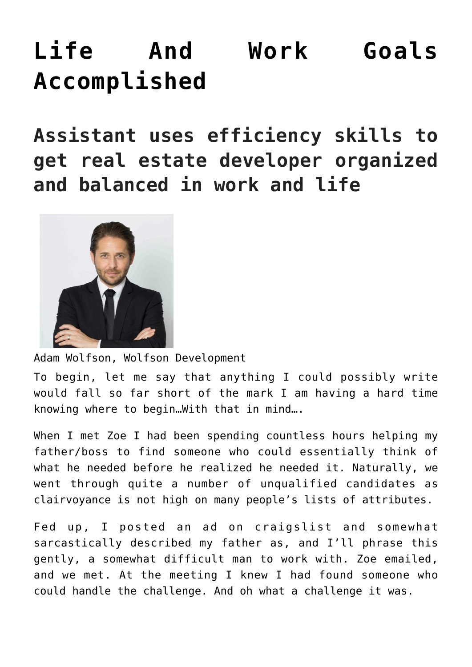## **[Life And Work Goals](https://mybeautifullifestory.com/life-and-work-goals-accomplished/) [Accomplished](https://mybeautifullifestory.com/life-and-work-goals-accomplished/)**

**Assistant uses efficiency skills to get real estate developer organized and balanced in work and life**



Adam Wolfson, Wolfson Development

To begin, let me say that anything I could possibly write would fall so far short of the mark I am having a hard time knowing where to begin…With that in mind….

When I met Zoe I had been spending countless hours helping my father/boss to find someone who could essentially think of what he needed before he realized he needed it. Naturally, we went through quite a number of unqualified candidates as clairvoyance is not high on many people's lists of attributes.

Fed up, I posted an ad on craigslist and somewhat sarcastically described my father as, and I'll phrase this gently, a somewhat difficult man to work with. Zoe emailed, and we met. At the meeting I knew I had found someone who could handle the challenge. And oh what a challenge it was.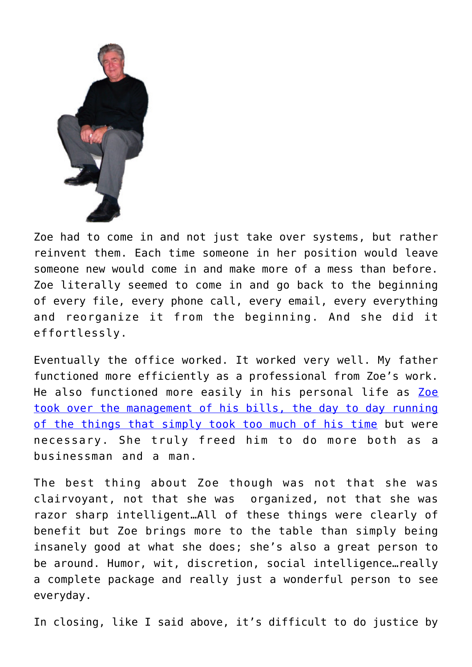

Zoe had to come in and not just take over systems, but rather reinvent them. Each time someone in her position would leave someone new would come in and make more of a mess than before. Zoe literally seemed to come in and go back to the beginning of every file, every phone call, every email, every everything and reorganize it from the beginning. And she did it effortlessly.

Eventually the office worked. It worked very well. My father functioned more efficiently as a professional from Zoe's work. He also functioned more easily in his personal life as [Zoe](https://business.google.com/u/1/jobs/l/15417541293799190285) [took over the management of his bills, the day to day running](https://business.google.com/u/1/jobs/l/15417541293799190285) [of the things that simply took too much of his time](https://business.google.com/u/1/jobs/l/15417541293799190285) but were necessary. She truly freed him to do more both as a businessman and a man.

The best thing about Zoe though was not that she was clairvoyant, not that she was organized, not that she was razor sharp intelligent…All of these things were clearly of benefit but Zoe brings more to the table than simply being insanely good at what she does; she's also a great person to be around. Humor, wit, discretion, social intelligence…really a complete package and really just a wonderful person to see everyday.

In closing, like I said above, it's difficult to do justice by